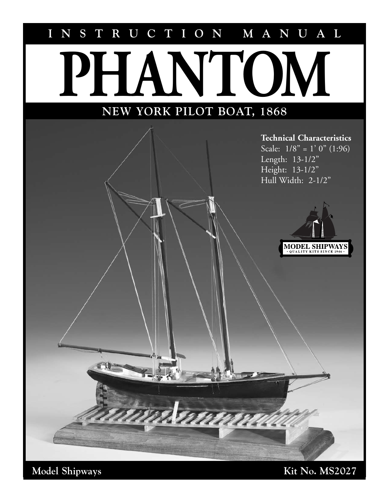# **INSTRUCTION MANUAL**

# **NEW YORK PILOT BOAT, 1868 PHANTOM**

reven

#### **Technical Characteristics**

Scale:  $1/8$ " = 1' 0" (1:96) Length: 13-1/2" Height: 13-1/2" Hull Width: 2-1/2"



Model Shipways Kit No. MS2027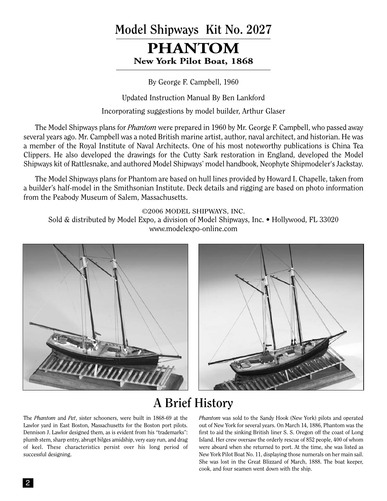# **Model Shipways Kit No. 2027**

# **PHANTOM New York Pilot Boat, 1868**

By George F. Campbell, 1960

Updated Instruction Manual By Ben Lankford

Incorporating suggestions by model builder, Arthur Glaser

The Model Shipways plans for *Phantom* were prepared in 1960 by Mr. George F. Campbell, who passed away several years ago. Mr. Campbell was a noted British marine artist, author, naval architect, and historian. He was a member of the Royal Institute of Naval Architects. One of his most noteworthy publications is China Tea Clippers. He also developed the drawings for the Cutty Sark restoration in England, developed the Model Shipways kit of Rattlesnake, and authored Model Shipways' model handbook, Neophyte Shipmodeler's Jackstay.

The Model Shipways plans for Phantom are based on hull lines provided by Howard I. Chapelle, taken from a builder's half-model in the Smithsonian Institute. Deck details and rigging are based on photo information from the Peabody Museum of Salem, Massachusetts.

©2006 MODEL SHIPWAYS, INC. Sold & distributed by Model Expo, a division of Model Shipways, Inc. • Hollywood, FL 33020 www.modelexpo-online.com





# **A Brief History**

The *Phantom* and *Pet*, sister schooners, were built in 1868-69 at the Lawlor yard in East Boston, Massachusetts for the Boston port pilots. Dennison J. Lawlor designed them, as is evident from his "trademarks": plumb stem, sharp entry, abrupt bilges amidship, very easy run, and drag of keel. These characteristics persist over his long period of successful designing.

*Phantom* was sold to the Sandy Hook (New York) pilots and operated out of New York for several years. On March 14, 1886, Phantom was the first to aid the sinking British liner S. S. Oregon off the coast of Long Island. Her crew oversaw the orderly rescue of 852 people, 400 of whom were aboard when she returned to port. At the time, she was listed as New York Pilot Boat No. 11, displaying those numerals on her main sail. She was lost in the Great Blizzard of March, 1888. The boat keeper, cook, and four seamen went down with the ship.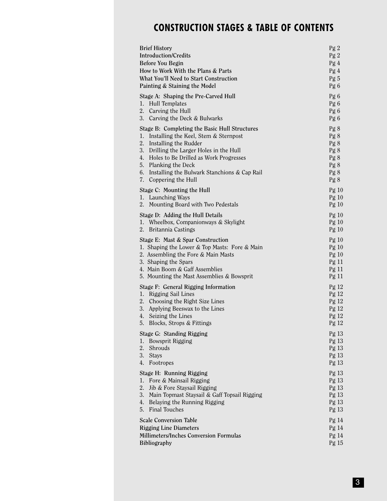# **CONSTRUCTION STAGES & TABLE OF CONTENTS**

| <b>Brief History</b><br><b>Introduction/Credits</b><br>Before You Begin<br>How to Work With the Plans & Parts<br>What You'll Need to Start Construction<br>Painting & Staining the Model                                                                                                                                                | Pg <sub>2</sub><br>Pg <sub>2</sub><br>Pg 4<br>Pg 4<br>Pg 5<br>Pg 6                                                   |
|-----------------------------------------------------------------------------------------------------------------------------------------------------------------------------------------------------------------------------------------------------------------------------------------------------------------------------------------|----------------------------------------------------------------------------------------------------------------------|
| Stage A: Shaping the Pre-Carved Hull<br>1.<br>Hull Templates<br>2.<br>Carving the Hull<br>3.<br>Carving the Deck & Bulwarks                                                                                                                                                                                                             | Pg 6<br>Pg 6<br>Pg 6<br>Pg 6                                                                                         |
| Stage B: Completing the Basic Hull Structures<br>1.<br>Installing the Keel, Stem & Sternpost<br>2.<br>Installing the Rudder<br>3.<br>Drilling the Larger Holes in the Hull<br>4.<br>Holes to Be Drilled as Work Progresses<br>Planking the Deck<br>5.<br>6.<br>Installing the Bulwark Stanchions & Cap Rail<br>Coppering the Hull<br>7. | Pg 8<br>Pg 8<br>Pg 8<br>Pg 8<br>Pg 8<br>Pg 8<br>Pg 8<br>Pg8                                                          |
| Stage C: Mounting the Hull<br>1. Launching Ways<br>Mounting Board with Two Pedestals<br>2.                                                                                                                                                                                                                                              | Pg10<br>Pg10<br>Pg10                                                                                                 |
| Stage D: Adding the Hull Details<br>1.<br>Wheelbox, Companionways & Skylight<br>Britannia Castings<br>2.                                                                                                                                                                                                                                | Pg10<br>Pg10<br>Pg10                                                                                                 |
| Stage E: Mast & Spar Construction<br>1. Shaping the Lower & Top Masts: Fore & Main<br>2. Assembling the Fore & Main Masts<br>3. Shaping the Spars<br>4. Main Boom & Gaff Assemblies<br>5. Mounting the Mast Assemblies & Bowsprit                                                                                                       | Pg10<br>Pg10<br>Pg10<br>Pg <sub>11</sub><br>Pg <sub>11</sub><br>Pg <sub>11</sub>                                     |
| Stage F: General Rigging Information<br>Rigging Sail Lines<br>ı.<br>2.<br>Choosing the Right Size Lines<br>3.<br>Applying Beeswax to the Lines<br>Seizing the Lines<br>4.<br>5.<br>Blocks, Strops & Fittings                                                                                                                            | Pg <sub>12</sub><br>Pg <sub>12</sub><br>Pg <sub>12</sub><br>Pg <sub>12</sub><br>Pg <sub>12</sub><br>Pg <sub>12</sub> |
| Stage G: Standing Rigging<br>Bowsprit Rigging<br>ı.<br>2.<br>Shrouds<br>3.<br><b>Stays</b><br>4.<br>Footropes                                                                                                                                                                                                                           | Pg 13<br>Pg 13<br>Pg13<br>Pg 13<br>Pg 13                                                                             |
| Stage H: Running Rigging<br>1.<br>Fore & Mainsail Rigging<br>2.<br>Jib & Fore Staysail Rigging<br>3.<br>Main Topmast Staysail & Gaff Topsail Rigging<br>4.<br>Belaying the Running Rigging<br>Final Touches<br>5.                                                                                                                       | Pg13<br>Pg 13<br>Pg13<br>Pg 13<br>Pg 13<br>Pg 13                                                                     |
| <b>Scale Conversion Table</b><br><b>Rigging Line Diameters</b><br>Millimeters/Inches Conversion Formulas<br><b>Bibliography</b>                                                                                                                                                                                                         | Pg 14<br>Pg <sub>14</sub><br>Pg <sub>14</sub><br>Pg 15                                                               |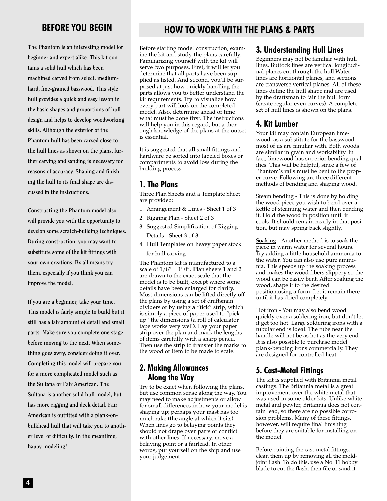**The Phantom is an interesting model for beginner and expert alike. This kit contains a solid hull which has been machined carved from select, mediumhard, fine-grained basswood. This style hull provides a quick and easy lesson in the basic shapes and proportions of hull design and helps to develop woodworking skills. Although the exterior of the Phantom hull has been carved close to the hull lines as shown on the plans, further carving and sanding is necessary for reasons of accuracy. Shaping and finishing the hull to its final shape are discussed in the instructions.**

**Constructing the Phantom model also will provide you with the opportunity to develop some scratch-building techniques. During construction, you may want to substitute some of the kit fittings with your own creations. By all means try them, especially if you think you can improve the model.** 

**If you are a beginner, take your time. This model is fairly simple to build but it still has a fair amount of detail and small parts. Make sure you complete one stage before moving to the next. When something goes awry, consider doing it over. Completing this model will prepare you for a more complicated model such as the Sultana or Fair American. The Sultana is another solid hull model, but has more rigging and deck detail. Fair American is outfitted with a plank-onbulkhead hull that will take you to another level of difficulty. In the meantime, happy modeling!**

# **BEFORE YOU BEGIN HOW TO WORK WITH THE PLANS & PARTS**

Before starting model construction, examine the kit and study the plans carefully. Familiarizing yourself with the kit will serve two purposes. First, it will let you determine that all parts have been supplied as listed. And second, you'll be surprised at just how quickly handling the parts allows you to better understand the kit requirements. Try to visualize how every part will look on the completed model. Also, determine ahead of time what must be done first. The instructions will help you in this regard, but a thorough knowledge of the plans at the outset is essential.

It is suggested that all small fittings and hardware be sorted into labeled boxes or compartments to avoid loss during the building process.

#### **1. The Plans**

Three Plan Sheets and a Template Sheet are provided:

- 1. Arrangement & Lines Sheet 1 of 3
- 2. Rigging Plan Sheet 2 of 3
- 3. Suggested Simplification of Rigging Details - Sheet 3 of 3
- 4. Hull Templates on heavy paper stock for hull carving

The Phantom kit is manufactured to a scale of  $1/8'' = 1'$  0". Plan sheets 1 and 2 are drawn to the exact scale that the model is to be built, except where some details have been enlarged for clarity. Most dimensions can be lifted directly off the plans by using a set of draftsman dividers or by using a "tick" strip, which is simply a piece of paper used to "pick up" the dimensions (a roll of calculator tape works very well). Lay your paper strip over the plan and mark the lengths of items carefully with a sharp pencil. Then use the strip to transfer the marks to the wood or item to be made to scale.

#### **2. Making Allowances Along the Way**

Try to be exact when following the plans, but use common sense along the way. You may need to make adjustments or allow for small differences in how your model is shaping up; perhaps your mast has too much rake (the angle at which it sits). When lines go to belaying points they should not drape over parts or conflict with other lines. If necessary, move a belaying point or a fairlead. In other words, put yourself on the ship and use your judgement.

#### **3. Understanding Hull Lines**

Beginners may not be familiar with hull lines. Buttock lines are vertical longitudinal planes cut through the hull.Waterlines are horizontal planes, and sections are transverse vertical planes. All of these lines define the hull shape and are used by the draftsman to fair the hull form (create regular even curves). A complete set of hull lines is shown on the plans.

#### **4. Kit Lumber**

Your kit may contain European limewood, as a substitute for the basswood most of us are familiar with. Both woods are similar in grain and workability. In fact, limewood has superior bending qualities. This will be helpful, since a few of Phantom's rails must be bent to the proper curve. Following are three different methods of bending and shaping wood.

Steam bending - This is done by holding the wood piece you wish to bend over a kettle of steaming water and then bending it. Hold the wood in position until it cools. It should remain nearly in that position, but may spring back slightly.

Soaking - Another method is to soak the piece in warm water for several hours. Try adding a little household ammonia to the water. You can also use pure ammonia. This speeds up the soaking process and makes the wood fibers slippery so the wood can be easily bent. After soaking the wood, shape it to the desired position,using a form. Let it remain there until it has dried completely.

Hot iron - You may also bend wood quickly over a soldering iron, but don't let it get too hot. Large soldering irons with a tubular end is ideal. The tube near the handle will not be as hot as the very end. It is also possible to purchase model plank-bending irons commercially. They are designed for controlled heat.

#### **5. Cast-Metal Fittings**

The kit is supplied with Britannia metal castings. The Britannia metal is a great improvement over the white metal that was used in some older kits. Unlike white metal and pewter, Britannia does not contain lead, so there are no possible corrosion problems. Many of these fittings, however, will require final finishing before they are suitable for installing on the model.

Before painting the cast-metal fittings, clean them up by removing all the moldjoint flash. To do this, use a No. 11 hobby blade to cut the flash, then file or sand it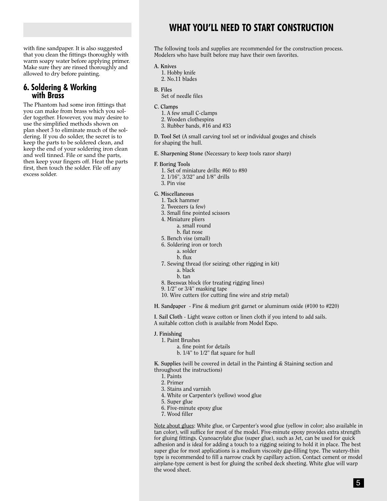with fine sandpaper. It is also suggested that you clean the fittings thoroughly with warm soapy water before applying primer. Make sure they are rinsed thoroughly and allowed to dry before painting.

# **6. Soldering & Working with Brass**

The Phantom had some iron fittings that you can make from brass which you solder together. However, you may desire to use the simplified methods shown on plan sheet 3 to eliminate much of the soldering. If you do solder, the secret is to keep the parts to be soldered clean, and keep the end of your soldering iron clean and well tinned. File or sand the parts, then keep your fingers off. Heat the parts first, then touch the solder. File off any excess solder.

## **WHAT YOU'LL NEED TO START CONSTRUCTION**

The following tools and supplies are recommended for the construction process. Modelers who have built before may have their own favorites.

#### **A. Knives**

- 1. Hobby knife
- 2. No.11 blades
- **B. Files**
	- Set of needle files

#### **C. Clamps**

- 1. A few small C-clamps
- 2. Wooden clothespins
- 3. Rubber bands, #16 and #33

**D. Tool Set** (A small carving tool set or individual gouges and chisels for shaping the hull.

**E. Sharpening Stone** (Necessary to keep tools razor sharp)

#### **F. Boring Tools**

- 1. Set of miniature drills: #60 to #80
- 2. 1/16", 3/32" and 1/8" drills
- 3. Pin vise

#### **G. Miscellaneous**

- 1. Tack hammer
- 2. Tweezers (a few)
- 3. Small fine pointed scissors
- 4. Miniature pliers
	- a. small round
	- b. flat nose
- 5. Bench vise (small)
- 6. Soldering iron or torch
	- a. solder
	- b. flux
- 7. Sewing thread (for seizing; other rigging in kit)
	- a. black
	- b. tan
- 8. Beeswax block (for treating rigging lines)
- 9. 1/2" or 3/4" masking tape
- 10. Wire cutters (for cutting fine wire and strip metal)

**H. Sandpaper** - Fine & medium grit garnet or aluminum oxide (#100 to #220)

**I. Sail Cloth** - Light weave cotton or linen cloth if you intend to add sails. A suitable cotton cloth is available from Model Expo.

- **J. Finishing**
	- 1. Paint Brushes
		- a. fine point for details
		- b. 1/4" to 1/2" flat square for hull

**K. Supplies** (will be covered in detail in the Painting & Staining section and throughout the instructions)

- 1. Paints
- 2. Primer
- 3. Stains and varnish
- 4. White or Carpenter's (yellow) wood glue
- 5. Super glue
- 6. Five-minute epoxy glue
- 7. Wood filler

Note about glues: White glue, or Carpenter's wood glue (yellow in color; also available in tan color), will suffice for most of the model. Five-minute epoxy provides extra strength for gluing fittings. Cyanoacrylate glue (super glue), such as Jet, can be used for quick adhesion and is ideal for adding a touch to a rigging seizing to hold it in place. The best super glue for most applications is a medium viscosity gap-filling type. The watery-thin type is recommended to fill a narrow crack by capillary action. Contact cement or model airplane-type cement is best for gluing the scribed deck sheeting. White glue will warp the wood sheet.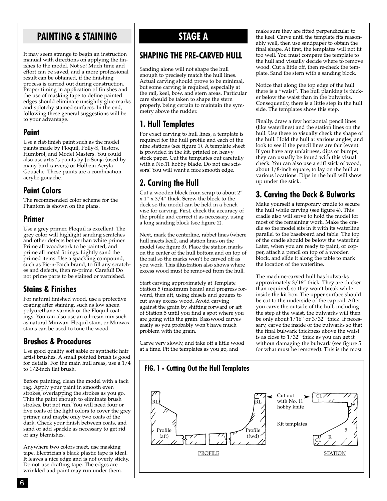## **PAINTING & STAINING STAGE A**

It may seem strange to begin an instruction manual with directions on applying the finishes to the model. Not so! Much time and effort can be saved, and a more professional result can be obtained, if the finishing process is carried out during construction. Proper timing in application of finishes and the use of masking tape to define painted edges should eliminate unsightly glue marks and splotchy stained surfaces. In the end, following these general suggestions will be to your advantage.

#### **Paint**

Use a flat-finish paint such as the model paints made by Floquil, Polly-S, Testors, Humbrol, and Model Masters. You could also use artist's paints by Jo Sonja (used by many bird carvers) or Holbein Acryla Gouache. These paints are a combination acrylic-gouache.

#### **Paint Colors**

The recommended color scheme for the Phantom is shown on the plans.

#### **Primer**

Use a grey primer. Floquil is excellent. The grey color will highlight sanding scratches and other defects better than white primer. Prime all woodwork to be painted, and prime all metal fittings. Lightly sand the primed items. Use a spackling compound, such as Pic-n-Patch brand, to fill any scratches and defects, then re-prime. Careful! Do not prime parts to be stained or varnished.

#### **Stains & Finishes**

For natural finished wood, use a protective coating after staining, such as low sheen polyurethane varnish or the Floquil coatings. You can also use an oil-resin mix such as natural Minwax. Floquil stain, or Minwax stains can be used to tone the wood.

#### **Brushes & Procedures**

Use good quality soft sable or synthetic hair artist brushes. A small pointed brush is good for details. For the main hull areas, use a 1/4 to 1/2-inch flat brush.

Before painting, clean the model with a tack rag. Apply your paint in smooth even strokes, overlapping the strokes as you go. Thin the paint enough to eliminate brush strokes, but not run. You will need four or five coats of the light colors to cover the grey primer, and maybe only two coats of the dark. Check your finish between coats, and sand or add spackle as necessary to get rid of any blemishes.

Anywhere two colors meet, use masking tape. Electrician's black plastic tape is ideal. It leaves a nice edge and is not overly sticky. Do not use drafting tape. The edges are wrinkled and paint may run under them.

#### **SHAPING THE PRE-CARVED HULL**

Sanding alone will not shape the hull enough to precisely match the hull lines. Actual carving should prove to be minimal, but some carving is required, especially at the rail, keel, bow, and stern areas. Particular care should be taken to shape the stern properly, being certain to maintain the symmetry above the rudder.

#### **1. Hull Templates**

For exact carving to hull lines, a template is required for the hull profile and each of the nine stations (see figure 1). A template sheet is provided in the kit, printed on heavy stock paper. Cut the templates out carefully with a No.11 hobby blade. Do not use scissors! You will want a nice smooth edge.

#### **2. Carving the Hull**

Cut a wooden block from scrap to about 2"  $x$  1"  $x$  3/4" thick. Screw the block to the deck so the model can be held in a bench vise for carving. First, check the accuracy of the profile and correct it as necessary, using a long sanding block (see figure 2).

Next, mark the centerline, rabbet lines (where hull meets keel), and station lines on the model (see figure 3). Place the station marks on the center of the hull bottom and on top of the rail so the marks won't be carved off as you work. This illustration also shows where excess wood must be removed from the hull.

Start carving approximately at Template Station 5 (maximum beam) and progress forward, then aft, using chisels and gouges to cut away excess wood. Avoid carving against the grain by shifting forward or aft of Station 5 until you find a spot where you are going with the grain. Basswood carves easily so you probably won't have much problem with the grain.

Carve very slowly, and take off a little wood at a time. Fit the templates as you go, and

make sure they are fitted perpendicular to the keel. Carve until the template fits reasonably well, then use sandpaper to obtain the final shape. At first, the templates will not fit too well. You must compare the template to the hull and visually decide where to remove wood. Cut a little off, then re-check the template. Sand the stern with a sanding block.

Notice that along the top edge of the hull there is a "waist". The hull planking is thicker below the waist than in the bulwarks. Consequently, there is a little step in the hull side. The templates show this step.

Finally, draw a few horizontal pencil lines (like waterlines) and the station lines on the hull. Use these to visually check the shape of the hull. Hold the hull at various angles, and look to see if the pencil lines are fair (even). If you have any unfairness, dips or bumps, they can usually be found with this visual check. You can also use a stiff stick of wood, about 1/8-inch square, to lay on the hull at various locations. Dips in the hull will show up under the stick.

#### **3. Carving the Deck & Bulwarks**

Make yourself a temporary cradle to secure the hull while carving (see figure 4). This cradle also will serve to hold the model for most of the remaining work. Make the cradle so the model sits in it with its waterline parallel to the baseboard and table. The top of the cradle should be below the waterline. Later, when you are ready to paint, or copper, attach a pencil on top of a wooden block, and slide it along the table to mark the location of the waterline.

The machine-carved hull has bulwarks approximately 3/16" thick. They are thicker than required, so they won't break while inside the kit box. The upper surface should be cut to the underside of the cap rail. After you carve the outside of the hull, including the step at the waist, the bulwarks will then be only about 1/16" or 3/32" thick. If necessary, carve the inside of the bulwarks so that the final bulwark thickness above the waist is as close to 1/32" thick as you can get it without damaging the bulwark (see figure 5 for what must be removed). This is the most

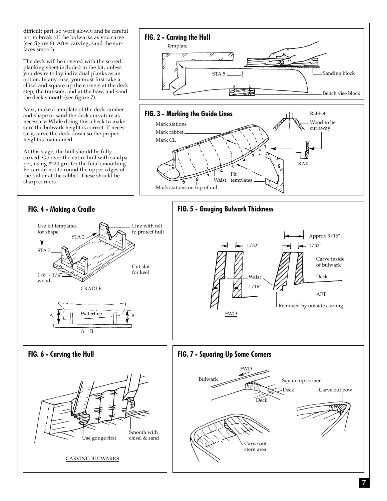difficult part, so work slowly and be careful not to break off the bulwarks as you carve (see figure 6). After carving, sand the surfaces smooth.

The deck will be covered with the scored planking sheet included in the kit, unless you desire to lay individual planks as an option. In any case, you must first take a chisel and square up the corners at the deck step, the transom, and at the bow, and sand the deck smooth (see figure 7).

Next, make a template of the deck camber and shape or sand the deck curvature as necessary. While doing this, check to make sure the bulwark height is correct. If necessary, carve the deck down so the proper height is maintained.

At this stage, the hull should be fully carved. Go over the entire hull with sandpaper, using #220 grit for the final smoothing. Be careful not to round the upper edges of the rail or at the rabbet. These should be sharp corners.

CARVING BULWARKS



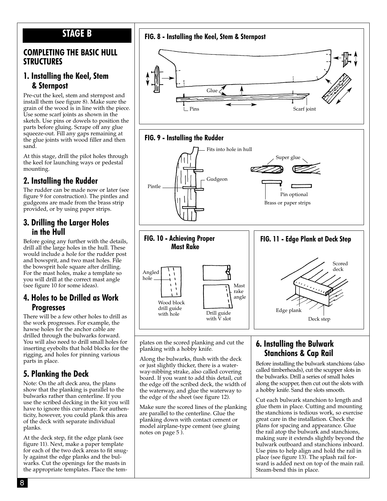#### **STAGE B**

#### **COMPLETING THE BASIC HULL STRUCTURES**

#### **1. Installing the Keel, Stem & Sternpost**

Pre-cut the keel, stem and sternpost and install them (see figure 8). Make sure the grain of the wood is in line with the piece. Use some scarf joints as shown in the sketch. Use pins or dowels to position the parts before gluing. Scrape off any glue squeeze-out. Fill any gaps remaining at the glue joints with wood filler and then sand.

At this stage, drill the pilot holes through the keel for launching ways or pedestal mounting.

#### **2. Installing the Rudder**

The rudder can be made now or later (see figure 9 for construction). The pintles and gudgeons are made from the brass strip provided, or by using paper strips.

#### **3. Drilling the Larger Holes in the Hull**

Before going any further with the details, drill all the large holes in the hull. These would include a hole for the rudder post and bowsprit, and two mast holes. File the bowsprit hole square after drilling. For the mast holes, make a template so you will drill at the correct mast angle (see figure 10 for some ideas).

#### **4. Holes to be Drilled as Work Progresses**

There will be a few other holes to drill as the work progresses. For example, the hawse holes for the anchor cable are drilled through the bulwarks forward. You will also need to drill small holes for inserting eyebolts that hold blocks for the rigging, and holes for pinning various parts in place.

#### **5. Planking the Deck**

Note: On the aft deck area, the plans show that the planking is parallel to the bulwarks rather than centerline. If you use the scribed decking in the kit you will have to ignore this curvature. For authenticity, however, you could plank this area of the deck with separate individual planks.

At the deck step, fit the edge plank (see figure 11). Next, make a paper template for each of the two deck areas to fit snugly against the edge planks and the bulwarks. Cut the openings for the masts in the appropriate templates. Place the tem-



or just slightly thicker, there is a waterway-nibbing strake, also called covering board. If you want to add this detail, cut

the waterway, and glue the waterway to the edge of the sheet (see figure 12).

Make sure the scored lines of the planking are parallel to the centerline. Glue the planking down with contact cement or model airplane-type cement (see gluing

notes on page 5 ).

the edge off the scribed deck, the width of Before installing the bulwark stanchions (also called timberheads), cut the scupper slots in the bulwarks. Drill a series of small holes along the scupper, then cut out the slots with a hobby knife. Sand the slots smooth.

> Cut each bulwark stanchion to length and glue them in place. Cutting and mounting the stanchions is tedious work, so exercise great care in the installation. Check the plans for spacing and appearance. Glue the rail atop the bulwark and stanchions, making sure it extends slightly beyond the bulwark outboard and stanchions inboard. Use pins to help align and hold the rail in place (see figure 13). The splash rail forward is added next on top of the main rail. Steam-bend this in place.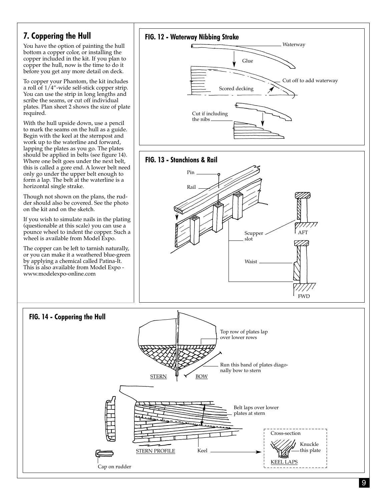#### **7. Coppering the Hull**

You have the option of painting the hull bottom a copper color, or installing the copper included in the kit. If you plan to copper the hull, now is the time to do it before you get any more detail on deck.

To copper your Phantom, the kit includes a roll of 1/4"-wide self-stick copper strip. You can use the strip in long lengths and scribe the seams, or cut off individual plates. Plan sheet 2 shows the size of plate required.

With the hull upside down, use a pencil to mark the seams on the hull as a guide. Begin with the keel at the sternpost and work up to the waterline and forward, lapping the plates as you go. The plates should be applied in belts (see figure 14). Where one belt goes under the next belt, this is called a gore end. A lower belt need only go under the upper belt enough to form a lap. The belt at the waterline is a horizontal single strake.

Though not shown on the plans, the rudder should also be covered. See the photo on the kit and on the sketch.

If you wish to simulate nails in the plating (questionable at this scale) you can use a pounce wheel to indent the copper. Such a wheel is available from Model Expo.

The copper can be left to tarnish naturally, or you can make it a weathered blue-green by applying a chemical called Patina-It. This is also available from Model Expo www.modelexpo-online.com



FWD

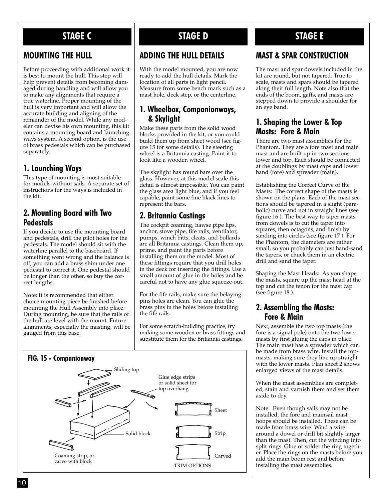# **STAGE C STAGE D STAGE E**

#### **MOUNTING THE HULL**

Before proceeding with additional work it is best to mount the hull. This step will help prevent details from becoming damaged during handling and will allow you to make any alignments that require a true waterline. Proper mounting of the hull is very important and will allow the accurate building and aligning of the remainder of the model. While any modeler can devise his own mounting, this kit contains a mounting board and launching ways system. A second option, is the use of brass pedestals which can be purchased separately.

#### **1. Launching Ways**

This type of mounting is most suitable for models without sails. A separate set of instructions for the ways is included in the kit.

#### **2. Mounting Board with Two Pedestals**

If you decide to use the mounting board and pedestals, drill the pilot holes for the pedestals. The model should sit with the waterline parallel to the baseboard. If something went wrong and the balance is off, you can add a brass shim under one pedestal to correct it. One pedestal should be longer than the other, so buy the correct lengths.

Note: It is recommended that either choice mounting piece be finished before mounting the Hull Assembly into place. During mounting, be sure that the rails of the hull are level with the mount. Future alignments, especially the masting, will be gauged from this base.

#### **ADDING THE HULL DETAILS**

With the model mounted, you are now ready to add the hull details. Mark the location of all parts in light pencil. Measure from some bench mark such as a mast hole, deck step, or the centerline.

#### **1. Wheelbox, Companionways, & Skylight**

Make these parts from the solid wood blocks provided in the kit, or you could build them up from sheet wood (see figure 15 for some details). The steering wheel is a Britannia casting. Paint it to look like a wooden wheel.

The skylight has round bars over the glass. However, at this model scale this detail is almost impossible. You can paint the glass area light blue, and if you feel capable, paint some fine black lines to represent the bars.

#### **2. Britannia Castings**

The cockpit coaming, hawse pipe lips, anchor, stove pipe, fife rails, ventilator, pumps, winch bitts, cleats, and bollards are all Britannia castings. Clean them up, prime, and paint the parts before installing them on the model. Most of these fittings require that you drill holes in the deck for inserting the fittings. Use a small amount of glue in the holes and be careful not to have any glue squeeze-out.

For the fife rails, make sure the belaying pins holes are clean. You can glue the brass pins in the holes before installing the fife rails.

For some scratch-building practice, try making some wooden or brass fittings and substitute them for the Britannia castings.



#### **MAST & SPAR CONSTRUCTION**

The mast and spar dowels included in the kit are round, but not tapered. True to scale, masts and spars should be tapered along their full length. Note also that the ends of the boom, gaffs, and masts are stepped down to provide a shoulder for an eye band.

#### **1. Shaping the Lower & Top Masts: Fore & Main**

There are two mast assemblies for the Phantom. They are a fore mast and main mast and are built up in two sections: lower and top. Each should be connected at the doublings by mast caps and lower band (fore) and spreader (main).

Establishing the Correct Curve of the Masts: The correct shape of the masts is shown on the plans. Each of the mast sections should be tapered in a slight (parabolic) curve and not in straight lines (see figure 16 ). The best way to taper masts from dowels is to cut the taper into squares, then octagons, and finish by sanding into circles (see figure 17 ). For the Phantom, the diameters are rather small, so you probably can just hand-sand the tapers, or chuck them in an electric drill and sand the taper.

Shaping the Mast Heads: As you shape the masts, square up the mast head at the top and cut the tenon for the mast cap (see figure 18 ).

#### **2. Assembling the Masts: Fore & Main**

Next, assemble the two top masts (the fore is a signal pole) onto the two lower masts by first gluing the caps in place. The main mast has a spreader which can be made from brass wire. Install the topmasts, making sure they line up straight with the lower masts. Plan sheet 2 shows enlarged views of the mast details.

When the mast assemblies are completed, stain and varnish them and set them aside to dry.

Note: Even though sails may not be installed, the fore and mainsail mast hoops should be installed. These can be made from brass wire. Wind a wire around a dowel or drill bit slightly larger than the mast. Then, cut the winding into split rings. Glue or solder the ring together. Place the rings on the masts before you add the main boom rest and before installing the mast assemblies.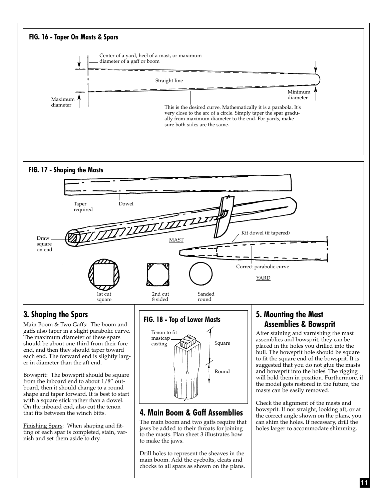

11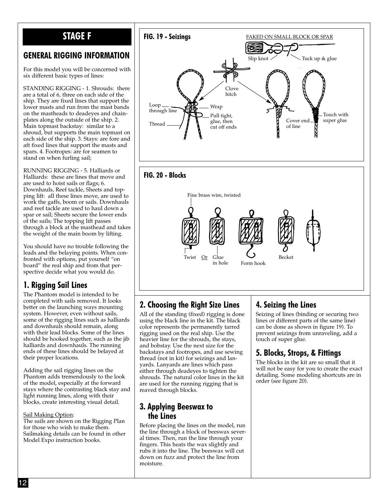# **STAGE F**

#### **GENERAL RIGGING INFORMATION**

For this model you will be concerned with six different basic types of lines:

STANDING RIGGING - 1. Shrouds: there are a total of 6, three on each side of the ship. They are fixed lines that support the lower masts and run from the mast bands on the mastheads to deadeyes and chainplates along the outside of the ship. 2. Main topmast backstay: similar to a shroud, but supports the main topmast on each side of the ship. 3. Stays: are fore and aft fixed lines that support the masts and spars. 4. Footropes: are for seamen to stand on when furling sail;

RUNNING RIGGING - 5. Halliards or Halliards: these are lines that move and are used to hoist sails or flags; 6. Downhauls, Reef tackle, Sheets and topping lift: all these lines move, are used to work the gaffs, boom or sails. Downhauls and reef tackle are used to haul down a spar or sail; Sheets secure the lower ends of the sails; The topping lift passes through a block at the masthead and takes the weight of the main boom by lifting.

You should have no trouble following the leads and the belaying points. When confronted with options, put yourself "on board" the real ship and from that perspective decide what you would do.

#### **1. Rigging Sail Lines**

The Phantom model is intended to be completed with sails removed. It looks better on the launching ways mounting system. However, even without sails, some of the rigging lines such as halliards and downhauls should remain, along with their lead blocks. Some of the lines should be hooked together, such as the jib halliards and downhauls. The running ends of these lines should be belayed at their proper locations.

Adding the sail rigging lines on the Phantom adds tremendously to the look of the model, especially at the forward stays where the contrasting black stay and light running lines, along with their blocks, create interesting visual detail.

#### Sail Making Option:

The sails are shown on the Rigging Plan for those who wish to make them. Sailmaking details can be found in other Model Expo instruction books.



#### **2. Choosing the Right Size Lines**

All of the standing (fixed) rigging is done using the black line in the kit. The black color represents the permanently tarred rigging used on the real ship. Use the heavier line for the shrouds, the stays, and bobstay. Use the next size for the backstays and footropes, and use sewing thread (not in kit) for seizings and lanyards. Lanyards are lines which pass either through deadeyes to tighten the shrouds. The natural color lines in the kit are used for the running rigging that is reaved through blocks.

#### **3. Applying Beeswax to the Lines**

Before placing the lines on the model, run the line through a block of beeswax several times. Then, run the line through your fingers. This heats the wax slightly and rubs it into the line. The beeswax will cut down on fuzz and protect the line from moisture.

#### **4. Seizing the Lines**

Seizing of lines (binding or securing two lines or different parts of the same line) can be done as shown in figure 19). To prevent seizings from unraveling, add a touch of super glue.

#### **5. Blocks, Strops, & Fittings**

The blocks in the kit are so small that it will not be easy for you to create the exact detailing. Some modeling shortcuts are in order (see figure 20).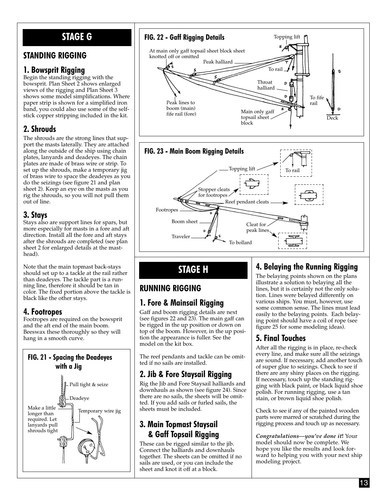# **STAGE G**

#### **STANDING RIGGING**

#### **1. Bowsprit Rigging**

Begin the standing rigging with the bowsprit. Plan Sheet 2 shows enlarged views of the rigging and Plan Sheet 3 shows some model simplifications. Where paper strip is shown for a simplified iron band, you could also use some of the selfstick copper stripping included in the kit.

#### **2. Shrouds**

The shrouds are the strong lines that support the masts laterally. They are attached along the outside of the ship using chain plates, lanyards and deadeyes. The chain plates are made of brass wire or strip. To set up the shrouds, make a temporary jig of brass wire to space the deadeyes as you do the seizings (see figure 21 and plan sheet 2). Keep an eye on the masts as you rig the shrouds, so you will not pull them out of line.

#### **3. Stays**

Stays also are support lines for spars, but more especially for masts in a fore and aft direction. Install all the fore and aft stays after the shrouds are completed (see plan sheet 2 for enlarged details at the masthead).

Note that the main topmast back-stays should set up to a tackle at the rail rather than deadeyes. The tackle part is a running line, therefore it should be tan in color. The fixed portion above the tackle is black like the other stays.

#### **4. Footropes**

Footropes are required on the bowsprit and the aft end of the main boom. Beeswax these thoroughly so they will hang in a smooth curve.

# **FIG. 21 - Spacing the Deadeyes with a Jig** Pull tight & seize





# **STAGE H**

#### **RUNNING RIGGING**

## **1. Fore & Mainsail Rigging**

Gaff and boom rigging details are next (see figures 22 and 23). The main gaff can be rigged in the up position or down on top of the boom. However, in the up position the appearance is fuller. See the model on the kit box.

The reef pendants and tackle can be omitted if no sails are installed.

#### **2. Jib & Fore Staysail Rigging**

Rig the Jib and Fore Staysail halliards and downhauls as shown (see figure 24). Since there are no sails, the sheets will be omitted. If you add sails or furled sails, the sheets must be included.

#### **3. Main Topmast Staysail & Gaff Topsail Rigging**

These can be rigged similar to the jib. Connect the halliards and downhauls together. The sheets can be omitted if no sails are used, or you can include the sheet and knot it off at a block.

## **4. Belaying the Running Rigging**

The belaying points shown on the plans illustrate a solution to belaying all the lines, but it is certainly not the only solution. Lines were belayed differently on various ships. You must, however, use some common sense. The lines must lead easily to the belaying points. Each belaying point should have a coil of rope (see figure 25 for some modeling ideas).

## **5. Final Touches**

After all the rigging is in place, re-check every line, and make sure all the seizings are sound. If necessary, add another touch of super glue to seizings. Check to see if there are any shiny places on the rigging. If necessary, touch up the standing rigging with black paint, or black liquid shoe polish. For running rigging, use a tan stain, or brown liquid shoe polish.

Check to see if any of the painted wooden parts were marred or scratched during the rigging process and touch up as necessary.

*Congratulations—you've done it***!** Your model should now be complete. We hope you like the results and look forward to helping you with your next ship modeling project.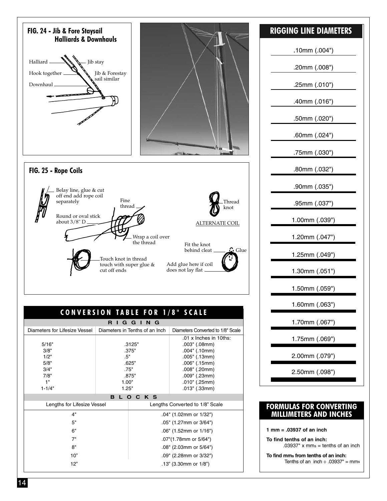

| ט ווט טוח                     |       |                                 |                                   |  |
|-------------------------------|-------|---------------------------------|-----------------------------------|--|
| Diameters for Lifesize Vessel |       | Diameters in Tenths of an Inch  | Diameters Converted to 1/8" Scale |  |
|                               |       |                                 | $.01 \times$ Inches in 10ths:     |  |
| 5/16"                         |       | .3125"                          | $.003$ " (.08mm)                  |  |
| 3/8"                          |       | .375"                           | $.004$ " (.10mm)                  |  |
| 1/2"                          | .5"   |                                 | .005" (.13mm)                     |  |
| 5/8"                          |       | .625"                           | $.006"$ (.15mm)                   |  |
| 3/4"                          |       | .75"                            | .008" (.20mm)                     |  |
| 7/8"                          |       | .875"                           | .009" (.23mm)                     |  |
| 1"                            | 1.00" |                                 | $.010$ " (.25mm)                  |  |
| $1 - 1/4"$                    | 1.25" |                                 | $.013$ " (.33mm)                  |  |
| LOCKS<br>в                    |       |                                 |                                   |  |
| Lengths for Lifesize Vessel   |       | Lengths Converted to 1/8" Scale |                                   |  |
| 4"                            |       |                                 | .04" (1.02mm or 1/32")            |  |
| 5"                            |       |                                 | .05" (1.27mm or 3/64")            |  |
| 6"                            |       |                                 | .06" (1.52mm or 1/16")            |  |
| 7"                            |       | .07"(1.78mm or 5/64")           |                                   |  |
| 8"                            |       | .08" (2.03mm or 5/64")          |                                   |  |
| 10"                           |       | .09" (2.28mm or 3/32")          |                                   |  |
| 12"                           |       | .13" (3.30mm or $1/8$ ")        |                                   |  |
|                               |       |                                 |                                   |  |

#### **RIGGING LINE DIAMETERS**

.10mm (.004")

.20mm (.008")

.25mm (.010")

.40mm (.016")

.50mm (.020")

.60mm (.024")

.75mm (.030")

.80mm (.032")

.90mm (.035")

.95mm (.037")

1.00mm (.039")

1.20mm (.047")

1.25mm (.049")

1.30mm (.051")

1.50mm (.059")

1.60mm (.063")

1.70mm (.067")

1.75mm (.069")

2.00mm (.079")

2.50mm (.098")

#### **FORMULAS FOR CONVERTING MILLIMETERS AND INCHES**

**1 mm = .03937 of an inch**

**To find tenths of an inch:**  $.03937"$  x mms = tenths of an inch

**To find mms from tenths of an inch:** Tenths of an inch  $\div$  .03937" = mms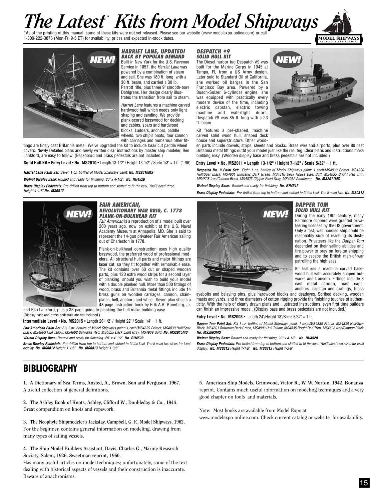# *The Latest*<sup>\*</sup> *Kits for the printing of this manual, some* of these kits were not yet released. Please ese our website (www.modelexpo-online.com) or call

1-800-222-3876 (Mon-Fri 9-5 ET) for availability, prices and expected in-stock dates.



#### **HARRIET LANE, UPDATED! BACK BY POPULAR DEMAND**

Built in New York for the U.S. Revenue Service in 1857, the Harriet Lane was powered by a combination of steam and sail. She was 180 ft. long, with a 30 ft. beam, and carried a 30 lb. Parrott rifle, plus three 9" smooth-bore Dahlgrens. Her design clearly illustrates the transition from sail to steam. **NEW!** BACK BY POPULAR DEMAND SOLID HULL KIT<br>The Diesel harbor tug Despatch #9 was **NEW!** 

> Harriet Lane features a machine carved hardwood hull which needs only light shaping and sanding. We provide plank-scored basswood for decking and cabins, spars and hardwood blocks. Ladders, anchors, paddle wheels, two ship's boats, four cannon with carriages and numerous other fit-

tings are finely cast Britannia metal. We've upgraded the kit to include laser cut paddle wheel covers. Newly Detailed plans and newly written clear instructions by master ship modeler, Ben Lankford, are easy to follow. (Baseboard and brass pedestals are not included.)

**Solid Hull Kit • Entry Level** • **No. MS2010** • Length 13-1/2" / Height 13-1/2" / Scale 1/8" = 1 ft. (1:96)

**Harriet Lane Paint Set:** Seven 1 oz. bottles of Model Shipways paint: **No. MS2010MS**

**Walnut Display Base:** Routed and ready for finishing. 20" x 4-1/2". **No. RH4520**

**Brass Display Pedestals:** Pre-drilled from top to bottom and slotted to fit the keel. You'll need three. Height 1-1/8" **No. MS0812**



#### **FAIR AMERICAN, PLANK-ON-BULKHEAD KIT**

Fair American is a reproduction of a model built over 200 years ago, now on exhibit at the U.S. Naval Academy Museum at Annapolis, MD. She is said to represent the 14-gun privateer Fair American sailing out of Charleston in 1778.

Plank-on-bulkhead construction uses high quality basswood, the preferred wood of professional modelers. All structural hull parts and major fittings are laser cut, so they fit together with remarkable ease. The kit contains over 60 cut or shaped wooden parts, plus 120 extra wood strips for a second layer of planking, should you wish to build your model with a double planked hull. More than 500 fittings of wood, brass and Britannia metal fittings include 14 brass guns on wooden carriages, cannon, chainplates, bell, anchors and wheel. Seven plan sheets a 48 page instruction book by Erik A.R. Ronnberg, Jr.

and Ben Lankford, plus a 38-page guide to planking the hull make building easy. (Display base and brass pedestals are not included.)

**Fair American Paint Set:** Six 1 oz. bottles of Model Shipways paint: 1 each/MS4839 Primer, MS4830 Hull/Spar Black, MS4803 Hull Tallow, MS4802 Bulwarks Red, MS4825 Deck Light Gray, MS4969 Gold. **No. MS2015MS Walnut Display Base:** Routed and ready for finishing. 20" x 4-1/2" **No. RH4520**

**Brass Display Pedestals:** Pre-drilled from top to bottom and slotted to fit the keel. You'll need two sizes for level display. **No. MS0812** Height 1-1/8" **No. MS0813** Height 1-3/8"

#### **DESPATCH #9 SOLID HULL KIT**

built for the Marine Corps in 1945 at Tampa, FL from a US Army design. Later sold to Standard Oil of California, she worked oil barges in the San Francisco Bay area. Powered by a Busch-Sulzer 6-cylinder engine, she was equipped with practically every modern device of the time, including electric capstan, electric towing machine and watertight doors. Despatch #9 was 85 ft. long with a 23 ft. beam.

Kit features a pre-shaped, machine carved solid wood hull, shaped deck house and superstructure. Other wood-

en parts include dowels, strips, sheets and blocks. Brass wire and airports, plus over 80 cast Britannia metal fittings outfit your model just like the real tug. Clear plans and instructions make building easy. (Wooden display base and brass pedestals are not included.)

#### **Entry Level • No. MS2011 • Length 13-1/2" / Height 7-1/2" / Scale 5/32" = 1 ft.**

**Despatch No. 9 Paint Set:** Eight 1 oz. bottles of Model Shipways paint: 1 each/MS4839 Primer, MS4830 Hull/Spar Black, MS4801 Bulwarks Dark Green, MS4816 Deck House Dark Buff, MS4835 Bright Red Trim, MS4828 Iron/Cannon Black, MS4823 Clipper Pearl Gray, MS4962 Aluminum. **No. MS2011MS**

**Walnut Display Base:** Routed and ready for finishing. **No. RH4512**

**Brass Display Pedestals:** Pre-drilled from top to bottom and slotted to fit the keel. You'll need two. **No. MS0812**



eyebolts and belaying pins, plus hardwood blocks and deadeyes. Scribed decking, wooden masts and yards, and three diameters of cotton rigging provide the finishing touches of authenticity. With the help of clearly drawn plans and illustrated instructions, even first time builders can finish an impressive model. (Display base and brass pedestals are not included.)

**Entry Level** • **No. MS2003** • Length 24"/Height 18"/Scale 5/32" = 1 ft.

Intermediate Level • No. MS2015 • Length 26-1/2" / Height 22" / Scale 1/4" = 1 ft.<br>Dapper Tom Paint Set: Six 1 02. bottles of Model Shipways paint: 1 each/MS4839 Primer, MS4830 Hull/Spar – Dapper Tom Paint Set: Six 1 oz. b **No. MS2003MS**

**Walnut Display Base:** Routed and ready for finishing. 20" x 4-1/2". **No. RH4520**

**Brass Display Pedestals:** Pre-drilled from top to bottom and slotted to fit the keel. You'll need two sizes for level display. **No. MS0812** Height 1-1/8" **No. MS0813** Height 1-3/8"

#### **BIBLIOGRAPHY**

**1. A Dictionary of Sea Terms, Ansted, A., Brown, Son and Ferguson, 1967.**  A useful collection of general definitions.

**2. The Ashley Book of Knots, Ashley, Clifford W., Doubleday & Co., 1944.**  Great compendium on knots and ropework.

**3. The Neophyte Shipmodeler's Jackstay, Campbell, G. F., Model Shipways, 1962.** For the beginner, contains general information on modeling, drawing from many types of sailing vessels.

**4. The Ship Model Builders Assistant, Davis, Charles G., Marine Research Society, Salem, 1926. Sweetman reprint, 1960.**

Has many useful articles on model techniques; unfortunately, some of the text dealing with historical aspects of vessels and their construction is inaccurate. Beware of anachronisms.

**5. American Ship Models, Grimwood, Victor R., W. W. Norton, 1942. Bonanza** reprint. Contains much useful information on modeling techniques and a very good chapter on tools and materials.

Note: Most books are available from Model Expo at www.modelexpo-online.com. Check current catalog or website for availability.

**MODEL SHIPWA** 

**SOLID HULL KIT**  During the early 19th century, many Baltimore clippers were granted privateering licenses by the US government. Only a fast, well handled ship could be reasonably sure of reaching its destination. Privateers like the Dapper Tom depended on their sailing abilities and fire power to prey on foreign shipping and to escape the British men-of-war patrolling the high seas.

**DAPPER TOM**

Kit features a machine carved basswood hull with accurately shaped bulwarks and transom. Fittings include 8 cast metal cannon, mast caps, anchors, capstan and gratings, brass